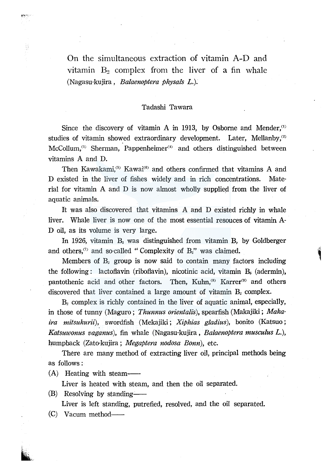On the simultaneous extraction of vitamin A-D and vitamin  $B_2$  complex from the liver of a fin whale (Nagasu-kujira, *Balaenoptera physals* L.).

## Tadashi Tawara

Since the discovery of vitamin A in 1913, by Osborne and Mender, $\alpha$ studies of vitamin showed extraordinary development. Later, Mellanby,<sup>29</sup> McCollum,<sup>33</sup> Sherman, Pappenheimer<sup>(4)</sup> and others distinguished between vitamins A and D.

Then Kawakami,<sup>(5)</sup> Kawai<sup>(6)</sup> and others confirmed that vitamins A and D existed in the liver of fishes widely and in rich concentrations. Material for vitamin A and D is now almost wholly supplied from the liver of aquatic animals.

It was also discovered that vitamins A and D existed richly in whale liver. Whale liver is now one of the most essential resouces of vitamin A-D oil, as its volume is very large.

In 1926, vitamin *B2* was distinguished from vitamin B, by Goldberger and others,<sup> $\sigma$ </sup> and so-called "Complexity of B<sub>2</sub>" was claimed.

Members of  $B_2$  group is now said to contain many factors including the following: lactoflavin (riboflavin), nicotinic acid, vitamin  $B_6$  (adermin), pantothenic acid and other factors. Then, Kuhn,<sup>(8)</sup> Karrer<sup>(9)</sup> and others discovered that liver contained a large amount of vitamin  $B_2$  complex.

*B2* complex is richly contained in the liver of aquatic animal, especially, in those of tunny (Maguro; *Thunnus orientalis),* spearfish (Makajiki; *Makaira mitsukurii),* swordfish (Mekajiki; *Xiphias gladius),* bonito (Katsuo; *Katsuwonus vaganus),* fin whale (Nagasu-kujira, *Balaenoptera musculus* L.), humpback (Zato-kujira ; *Megaptera nodosa Bonn),* etc.

There are many method of extracting liver oil, principal methods being as follows:

(A) Heating with steam--

Liver is heated with steam, and then the oil separated.

 $(B)$  Resolving by standing-

Liver is left standing, putrefied, resolved, and the oil separated.

(C) Vacum method-

Ŗ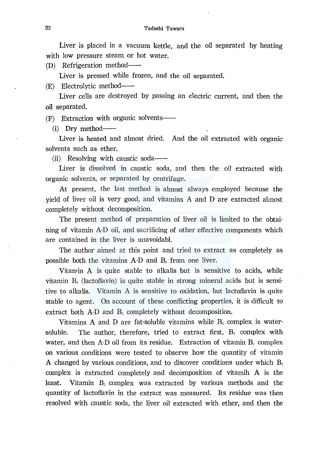Liver is placed in a vacuum kettle, and the oil separated by heating with low pressure steam or hot water.

(D) Refrigeration method--

Liver is pressed while frozen, and the oil separated.

(E) Electrolytic method-

Liver cells are destroyed by passing an electric current, and then the oil separated.

(F) Extraction with organic solvents--

 $(i)$  Dry method—

Liver is heated and almost dried. And the oil extracted with organic solvents such as ether.

(ii) Resolving with caustic soda--

Liver is dissolved in caustic soda, and then the oil extracted with organic solvents, or separated by centrifuge.

At present, the last method is almost always employed because the  $v$ ield of liver oil is very good, and vitamins A and D are extracted almost completely without decomposition.

The present method of preparation of liver oil is limited to the obtaining of vitamin A-D oil, and sacrificing of other effective components which are contained in the liver is unavoidabl.

The author aimed at this point and tried to extract as completely as possible both the vitamins A-D and *B2* from one liver.

Vitamin A is quite stable to alkalis but is sensitive to acids, while vitamin *B2* (lactofiavin) is quite stable in strong mineral acids but is sensitive to alkalis. Vitamin A is sensitive to oxidation, but lactofiavin is quite stable to agent. On account of these conflicting properties, it is difficult to extract both A-D and B<sub>2</sub> completely without decomposition.

Vitamins A and D are fat-soluble vitamins while  $B_2$  complex is watersoluble. The author, therefore, tried to extract first,  $B_2$  complex with water, and then A-D oil from its residue. Extraction of vitamin B<sub>2</sub> complex on various conditions were tested to observe how the quantity of vitamin A changed by various conditions, and to discover conditions under which *B2*  complex is extracted completely and decomposition of vitamih A is the least. Vitamin  $B_i$  complex was extracted by various methods and the quantity of lactofiavin in the extract was measured. Its residue was then resolved with caustic soda, the liver oil extracted with ether, and then the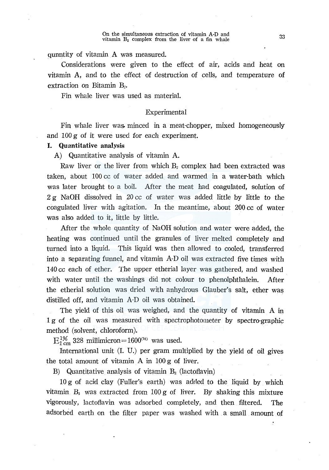#### On the simultaneous extraction of vitamin A·D and vitamin  $B_2$  complex from the liver of a fin whale

qunntity of vitamin A was measured.

Considerations were given to the effect of air, acids and heat on vitamin A, and to the effect of destruction of cells, and temperature of extraction on Bitamin  $B_{2}$ .

Fin whale liver was used as material.

## Experimental

Fin whale liver was. minced in a meat-chopper, mixed homogeneously and 100 g of it were used for each experiment.

## I. Quantitative analysis

A) Quantitative analysis of vitamin A.

Raw liver or the liver from which  $B_2$  complex had been extracted was taken, about 100 cc of water added and warmed in a water-bath which was later brought to a boil. After the meat had coagulated, solution of 2 g NaOH dissolved in 20 cc of water was added little by little to the coagulated liver with agitation. In the meantime, about 200 cc of water was also added to it, little by little.

After the whole quantity of NaOH solution and water were added, the heating was continued until the granules of liver melted completely and turned into a liquid. This liquid was then allowed to cooled, transferred into a separating funnel, and vitamin A-Doil was extracted five times with 140 cc each of ether. The upper etherial layer was gathered, and washed with water until the washings did not colour to phenolphthalein. After the etherial solution was dried with anhydrous Glauber's salt, ether was distilled off, and vitamin A-D oil was obtained.

The yield of this oil was weighed, and the quantity of vitamin A in 1 g of the oil was measured with spectrophotometer by spectro-graphic method (solvent, chloroform).

 $E_{1 \text{ cm}}^{1\%}$  328 millimicron= 1600<sup>(10)</sup> was used.

International unit (I. U.) per gram multiplied by the yield of oil gives the total amount of vitamin A in 100 g of liver.

B) Quantitative analysis of vitamin  $B_2$  (lactoflavin)

10 g of acid clay (Fuller's earth) was adrled to the liquid by which vitamin  $B_2$  was extracted from 100 g of liver. By shaking this mixture vigorously, lactoflavin was adsorbed completely, and then filtered. The adsorbed earth on the filter paper was washed with a small amount of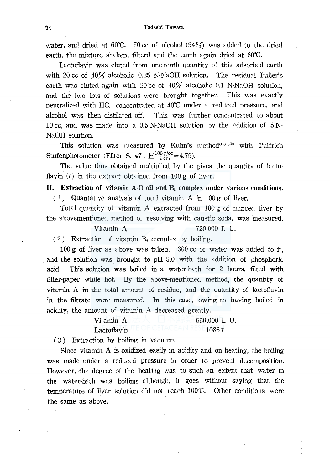water, and dried at 60°C. 50 cc of alcohol  $(94%)$  was added to the dried earth, the mixture shaken, filterd and the earth again dried at 60°C.

Lactoflavin was eluted from one-tenth quantity of this adsorbed earth with 20 cc of  $40\%$  alcoholic 0.25 N-NaOH solution. The residual Fuller's earth was eluted again with 20 cc of  $40\%$  alcoholic 0.1 N-NaOH solution, and the two lots of solutions were brought together. This was exactly neutralized with HCl, concentrated at 40°C under a reduced pressure, and alcohol was then distilated off. This was further concentrated to about 10 cc, and was made into a 0.5 N-NaOH solution by the addition of 5 N-NaOH solution.

This solution was measured by Kuhn's method<sup>(11) (12)</sup> with Pulfrich Stufenphotometer (Filter S. 47;  $E_{1 \text{ cm}}^{100 \gamma/\text{cc}}=4.75$ ).

The value thus obtained multiplied by the gives the quantity of lacto flavin  $(7)$  in the extract obtained from 100 g of liver.

# II. Extraction of vitamin A-D oil and  $B<sub>2</sub>$  complex under various conditions.

(1) Quantative analysis of total vitamin A in  $100 g$  of liver.

Total quantity of vitamin A extracted from 100 g of minced liver by the abovementioned method of resolving with caustic soda, was measured.

## Vitamin A 720,000 I. U.

(2) Extraction of vitamin  $B_2$  complex by boiling.

 $100 \text{ g}$  of liver as above was taken.  $300 \text{ cc}$  of water was added to it, . and the solution was brought to pH 5.0 with the addition of phosphoric acid. This solution was boiled in a water-bath for 2 hours, tilted with filter-paper while hot. By the above-mentioned method, the quantity of vitamin  $A$  in the total amount of residue, and the quantity of lactoflavin in the filtrate were measured. In this case, owing to having boiled in acidity, the amount of vitamin A decreased greatly.

# Vitamin A  $\pm \wedge$  details  $\pm$  40  $\pm$  550,000 I. U.  $\rm{Lactoflavin}$  in the original particle and kese $\rm 1086\, \it r$

( 3 ) Extraction by boiling in vacuum.

 $\ddot{\cdot}$ 

Since vitamin A is oxidized easily in acidity and on heating, the boiling was made under a reduced pressure in order to prevent decomposition. However, the degree of the heating was to such an extent that water in the water-bath was boiling although, it goes without saying that the temperature of liver solution did not reach 100°C. Other conditions were the same as above.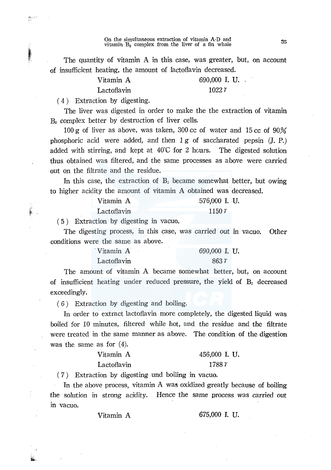On the simultaneous extraction of vitamin  $A-D$  and  $B_2$  complex from the liver of a fin whale

The quantity of vitamin A in this case, was greater, but, on account of insufficient heating, the amount of lactoflavin decreased.

| Vitamin A   | 690,000 I.U. |
|-------------|--------------|
| Lactoflayin | 1022 $r$     |

( 4) Extraction by digesting.

la contra della contra della contra della contra della contra della contra della contra della contra della con<br>Districto della contra della contra della contra della contra della contra della contra della contra della con r·.

ilf. ..

The liver was digested in order to make the the extraction of vitamin *Bi* complex better by destruction of liver cells.

100 g of liver as above, was taken, 300 cc of water and 15 cc of  $90\%$ phosphoric acid were added, and then  $1g$  of saccharated pepsin  $(I, P)$ added with stirring, and kept at  $40^{\circ}$ C for 2 hours. The digested solution thus obtained was filtered, and the same processes as above were carried out on the filtrate and the residue.

In this case, the extraction of B<sub>2</sub> became somewhat better, but owing to higher acidity the amount of vitamin A obtained was decreased.

| Vitamin A   | 576,000 I. U. |  |
|-------------|---------------|--|
| Lactoflavin | 1150 $\tau$   |  |

( 5 ) Extraction by digesting in vacuo.

The digesting process, in this case, was carried out in vacuo. Other conditions were the same as above.

| Vitamin A   | 690,000 I. U. |
|-------------|---------------|
| Lactoflayin | $863 \tau$    |

The amount of vitamin A became somewhat better, but, on account of insufficient heating under reduced pressure, the yield of  $B<sub>2</sub>$  decreased exceedingly.

( 6) Extraction by digesting and boiling.

In order to extract lactoflavin more completely, the digested liquid was boiled for 10 minutes, filtered while hot, and the residue and the filtrate were treated in the same manner as above. The condition of the digestion was the same as for  $(4)$ .

| Vitamin A   | 456,000 I. U. |
|-------------|---------------|
| Lactoflavin | 1788 r        |

( 7 ) Extraction by digesting und boiling in vacuo.

In the above process, vitamin A was oxidized greatly because of boiling the solution in strong acidity. Hence the same process was carried out m vacuo.

Vitamin A 675,000 I. u.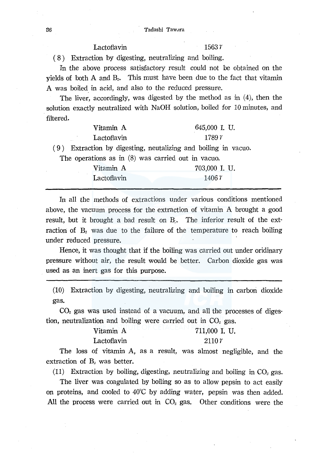### 36 Tadashi Tawdra

## Lactoflavin 1563  $r$

( 8 ) Extraction by digesting, neutralizing and boiling.

In the above process satisfactory result could not be obtained on the yields of both A and *B2.* This must have been due to the fact that vitamin A was boiled in acid, and also to the reduced pressure.

The liver, accordingly, was digested by the method as in (4), then the solution exactly neutralized with NaOH solution, boiled for 10 minutes, and filtered.

| Vitamin A                                                      | 645,000 I. U. |  |
|----------------------------------------------------------------|---------------|--|
| Lactoflavin                                                    | 1789 r        |  |
| (9) Extraction by digesting, neutalizing and boiling in vacuo. |               |  |
| The operations as in $(8)$ was carried out in vacuo.           |               |  |
| Vitamin A                                                      | 703,000 I. U. |  |
| Lactoflavin                                                    | 1406 $\tau$   |  |

In all the methods of extractions under various conditions mentioned above, the vacuum process for the extraction of vitamin A brought a good result, but it brought a bad result on  $B$ . The inferior result of the extraction of B<sub>2</sub> was due to the failure of the temperature to reach boiling under reduced pressure.

Hence, it was thought that if the boiling was carried out under oridinary pressure without air, the result would be better. Carbon dioxide gas was used as an inert gas for this purpose.

(10) Extraction by digesting, neutralizing and boiling in carbon dioxide gas.

 $CO<sub>2</sub>$  gas was used instead of a vacuum, and all the processes of digestion, neutralization and boiling were carried out in  $CO<sub>2</sub>$  gas.

| Vitamin A   | 711,000 I. U. |
|-------------|---------------|
| Lactoflavin | $2110 \tau$   |

The loss of vitamin A, as a result, was almost negligible, and the extraction of  $B_1$  was better.

 $(11)$  Extraction by boiling, digesting, neutralizing and boiling in CO<sub>2</sub> gas.

The liver was coagulated by boiling so as to allow pepsin to act easily on proteins, and cooled to 40°C by adding water, pepsin was then added. All the process were carried out in  $CO<sub>2</sub>$  gas. Other conditions were the